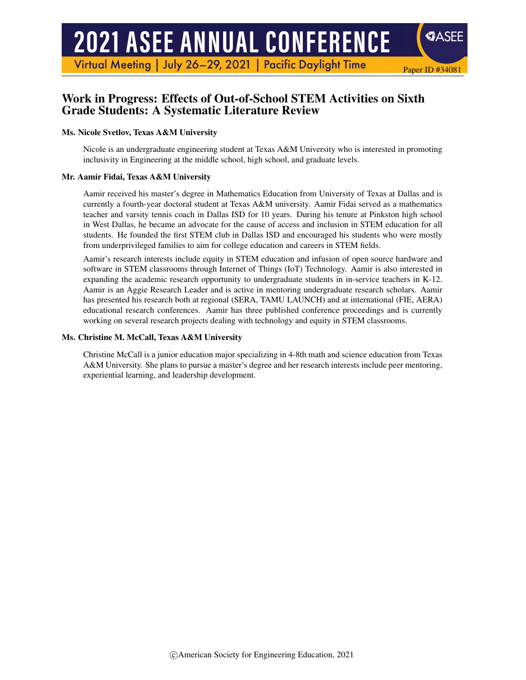# **2021 ASEE ANNUAL CONFERENCE**

Virtual Meeting | July 26-29, 2021 | Pacific Daylight Time

## Work in Progress: Effects of Out-of-School STEM Activities on Sixth Grade Students: A Systematic Literature Review

#### Ms. Nicole Svetlov, Texas A&M University

Nicole is an undergraduate engineering student at Texas A&M University who is interested in promoting inclusivity in Engineering at the middle school, high school, and graduate levels.

Paper ID #34081

**SASEE** 

#### Mr. Aamir Fidai, Texas A&M University

Aamir received his master's degree in Mathematics Education from University of Texas at Dallas and is currently a fourth-year doctoral student at Texas A&M university. Aamir Fidai served as a mathematics teacher and varsity tennis coach in Dallas ISD for 10 years. During his tenure at Pinkston high school in West Dallas, he became an advocate for the cause of access and inclusion in STEM education for all students. He founded the first STEM club in Dallas ISD and encouraged his students who were mostly from underprivileged families to aim for college education and careers in STEM fields.

Aamir's research interests include equity in STEM education and infusion of open source hardware and software in STEM classrooms through Internet of Things (IoT) Technology. Aamir is also interested in expanding the academic research opportunity to undergraduate students in in-service teachers in K-12. Aamir is an Aggie Research Leader and is active in mentoring undergraduate research scholars. Aamir has presented his research both at regional (SERA, TAMU LAUNCH) and at international (FIE, AERA) educational research conferences. Aamir has three published conference proceedings and is currently working on several research projects dealing with technology and equity in STEM classrooms.

#### Ms. Christine M. McCall, Texas A&M University

Christine McCall is a junior education major specializing in 4-8th math and science education from Texas A&M University. She plans to pursue a master's degree and her research interests include peer mentoring, experiential learning, and leadership development.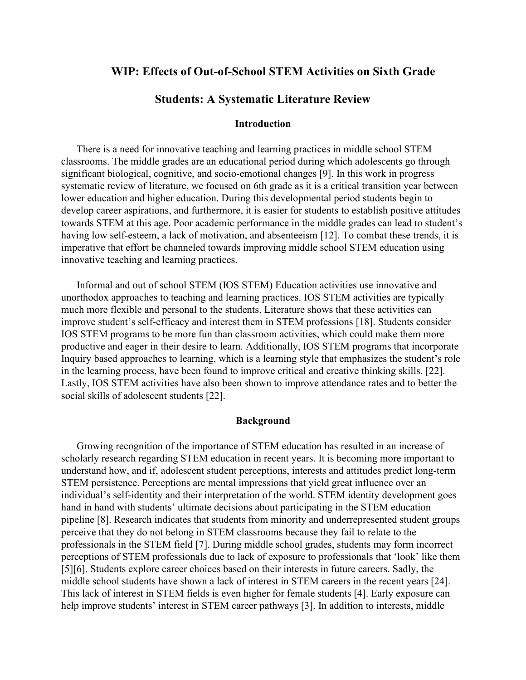## **WIP: Effects of Out-of-School STEM Activities on Sixth Grade**

### **Students: A Systematic Literature Review**

#### **Introduction**

There is a need for innovative teaching and learning practices in middle school STEM classrooms. The middle grades are an educational period during which adolescents go through significant biological, cognitive, and socio-emotional changes [9]. In this work in progress systematic review of literature, we focused on 6th grade as it is a critical transition year between lower education and higher education. During this developmental period students begin to develop career aspirations, and furthermore, it is easier for students to establish positive attitudes towards STEM at this age. Poor academic performance in the middle grades can lead to student's having low self-esteem, a lack of motivation, and absenteeism [12]. To combat these trends, it is imperative that effort be channeled towards improving middle school STEM education using innovative teaching and learning practices.

Informal and out of school STEM (IOS STEM) Education activities use innovative and unorthodox approaches to teaching and learning practices. IOS STEM activities are typically much more flexible and personal to the students. Literature shows that these activities can improve student's self-efficacy and interest them in STEM professions [18]. Students consider IOS STEM programs to be more fun than classroom activities, which could make them more productive and eager in their desire to learn. Additionally, IOS STEM programs that incorporate Inquiry based approaches to learning, which is a learning style that emphasizes the student's role in the learning process, have been found to improve critical and creative thinking skills. [22]. Lastly, IOS STEM activities have also been shown to improve attendance rates and to better the social skills of adolescent students [22].

### **Background**

Growing recognition of the importance of STEM education has resulted in an increase of scholarly research regarding STEM education in recent years. It is becoming more important to understand how, and if, adolescent student perceptions, interests and attitudes predict long-term STEM persistence. Perceptions are mental impressions that yield great influence over an individual's self-identity and their interpretation of the world. STEM identity development goes hand in hand with students' ultimate decisions about participating in the STEM education pipeline [8]. Research indicates that students from minority and underrepresented student groups perceive that they do not belong in STEM classrooms because they fail to relate to the professionals in the STEM field [7]. During middle school grades, students may form incorrect perceptions of STEM professionals due to lack of exposure to professionals that 'look' like them [5][6]. Students explore career choices based on their interests in future careers. Sadly, the middle school students have shown a lack of interest in STEM careers in the recent years [24]. This lack of interest in STEM fields is even higher for female students [4]. Early exposure can help improve students' interest in STEM career pathways [3]. In addition to interests, middle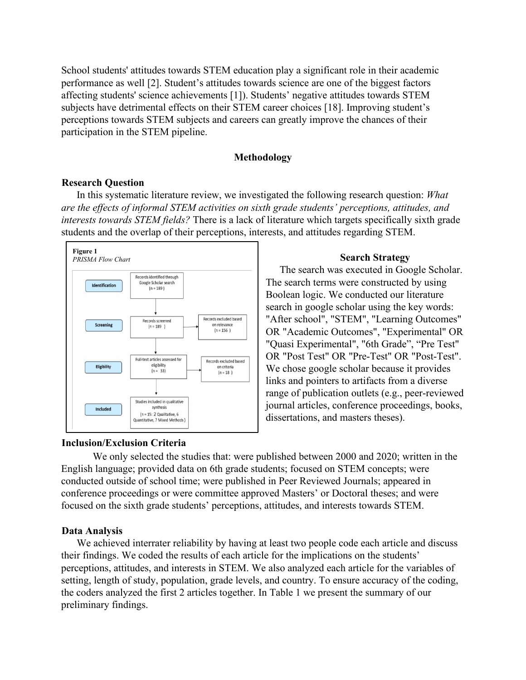School students' attitudes towards STEM education play a significant role in their academic performance as well [2]. Student's attitudes towards science are one of the biggest factors affecting students' science achievements [1]). Students' negative attitudes towards STEM subjects have detrimental effects on their STEM career choices [18]. Improving student's perceptions towards STEM subjects and careers can greatly improve the chances of their participation in the STEM pipeline.

### **Methodology**

#### **Research Question**

In this systematic literature review, we investigated the following research question: *What are the effects of informal STEM activities on sixth grade students' perceptions, attitudes, and interests towards STEM fields?* There is a lack of literature which targets specifically sixth grade students and the overlap of their perceptions, interests, and attitudes regarding STEM.



#### **Inclusion/Exclusion Criteria**

#### **Search Strategy**

The search was executed in Google Scholar. The search terms were constructed by using Boolean logic. We conducted our literature search in google scholar using the key words: "After school", "STEM", "Learning Outcomes" OR "Academic Outcomes", "Experimental" OR "Quasi Experimental", "6th Grade", "Pre Test" OR "Post Test" OR "Pre-Test" OR "Post-Test". We chose google scholar because it provides links and pointers to artifacts from a diverse range of publication outlets (e.g., peer-reviewed journal articles, conference proceedings, books, dissertations, and masters theses).

We only selected the studies that: were published between 2000 and 2020; written in the English language; provided data on 6th grade students; focused on STEM concepts; were conducted outside of school time; were published in Peer Reviewed Journals; appeared in conference proceedings or were committee approved Masters' or Doctoral theses; and were focused on the sixth grade students' perceptions, attitudes, and interests towards STEM.

#### **Data Analysis**

We achieved interrater reliability by having at least two people code each article and discuss their findings. We coded the results of each article for the implications on the students' perceptions, attitudes, and interests in STEM. We also analyzed each article for the variables of setting, length of study, population, grade levels, and country. To ensure accuracy of the coding, the coders analyzed the first 2 articles together. In Table 1 we present the summary of our preliminary findings.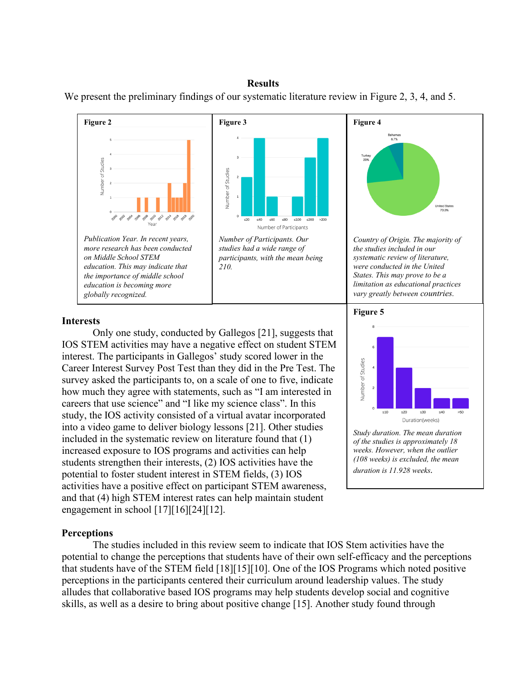#### **Results**

We present the preliminary findings of our systematic literature review in Figure 2, 3, 4, and 5.



#### **Interests**

Only one study, conducted by Gallegos [21], suggests that IOS STEM activities may have a negative effect on student STEM interest. The participants in Gallegos' study scored lower in the Career Interest Survey Post Test than they did in the Pre Test. The survey asked the participants to, on a scale of one to five, indicate how much they agree with statements, such as "I am interested in careers that use science" and "I like my science class". In this study, the IOS activity consisted of a virtual avatar incorporated into a video game to deliver biology lessons [21]. Other studies included in the systematic review on literature found that (1) increased exposure to IOS programs and activities can help students strengthen their interests, (2) IOS activities have the potential to foster student interest in STEM fields, (3) IOS activities have a positive effect on participant STEM awareness, and that (4) high STEM interest rates can help maintain student engagement in school [17][16][24][12].

# *limitation as educational practices*  **Figure 5** Number of Studies  $30$ Duration(weeks)

*Study duration. The mean duration of the studies is approximately 18 weeks. However, when the outlier (108 weeks) is excluded, the mean duration is 11.928 weeks.*

#### **Perceptions**

The studies included in this review seem to indicate that IOS Stem activities have the potential to change the perceptions that students have of their own self-efficacy and the perceptions that students have of the STEM field [18][15][10]. One of the IOS Programs which noted positive perceptions in the participants centered their curriculum around leadership values. The study alludes that collaborative based IOS programs may help students develop social and cognitive skills, as well as a desire to bring about positive change [15]. Another study found through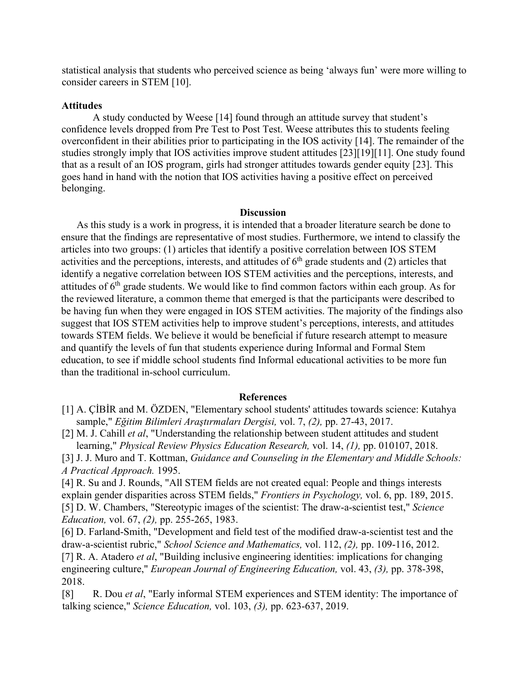statistical analysis that students who perceived science as being 'always fun' were more willing to consider careers in STEM [10].

#### **Attitudes**

A study conducted by Weese [14] found through an attitude survey that student's confidence levels dropped from Pre Test to Post Test. Weese attributes this to students feeling overconfident in their abilities prior to participating in the IOS activity [14]. The remainder of the studies strongly imply that IOS activities improve student attitudes [23][19][11]. One study found that as a result of an IOS program, girls had stronger attitudes towards gender equity [23]. This goes hand in hand with the notion that IOS activities having a positive effect on perceived belonging.

#### **Discussion**

As this study is a work in progress, it is intended that a broader literature search be done to ensure that the findings are representative of most studies. Furthermore, we intend to classify the articles into two groups: (1) articles that identify a positive correlation between IOS STEM activities and the perceptions, interests, and attitudes of  $6<sup>th</sup>$  grade students and (2) articles that identify a negative correlation between IOS STEM activities and the perceptions, interests, and attitudes of  $6<sup>th</sup>$  grade students. We would like to find common factors within each group. As for the reviewed literature, a common theme that emerged is that the participants were described to be having fun when they were engaged in IOS STEM activities. The majority of the findings also suggest that IOS STEM activities help to improve student's perceptions, interests, and attitudes towards STEM fields. We believe it would be beneficial if future research attempt to measure and quantify the levels of fun that students experience during Informal and Formal Stem education, to see if middle school students find Informal educational activities to be more fun than the traditional in-school curriculum.

#### **References**

[1] A. ÇİBİR and M. ÖZDEN, "Elementary school students' attitudes towards science: Kutahya sample," *Eğitim Bilimleri Araştırmaları Dergisi,* vol. 7, *(2),* pp. 27-43, 2017.

[2] M. J. Cahill *et al*, "Understanding the relationship between student attitudes and student learning," *Physical Review Physics Education Research,* vol. 14, *(1),* pp. 010107, 2018.

[3] J. J. Muro and T. Kottman, *Guidance and Counseling in the Elementary and Middle Schools: A Practical Approach.* 1995.

[4] R. Su and J. Rounds, "All STEM fields are not created equal: People and things interests explain gender disparities across STEM fields," *Frontiers in Psychology,* vol. 6, pp. 189, 2015. [5] D. W. Chambers, "Stereotypic images of the scientist: The draw-a-scientist test," *Science Education,* vol. 67, *(2),* pp. 255-265, 1983.

[6] D. Farland-Smith, "Development and field test of the modified draw-a-scientist test and the draw‐a‐scientist rubric," *School Science and Mathematics,* vol. 112, *(2),* pp. 109-116, 2012. [7] R. A. Atadero *et al*, "Building inclusive engineering identities: implications for changing engineering culture," *European Journal of Engineering Education,* vol. 43, *(3),* pp. 378-398, 2018.

[8] R. Dou *et al*, "Early informal STEM experiences and STEM identity: The importance of talking science," *Science Education,* vol. 103, *(3),* pp. 623-637, 2019.